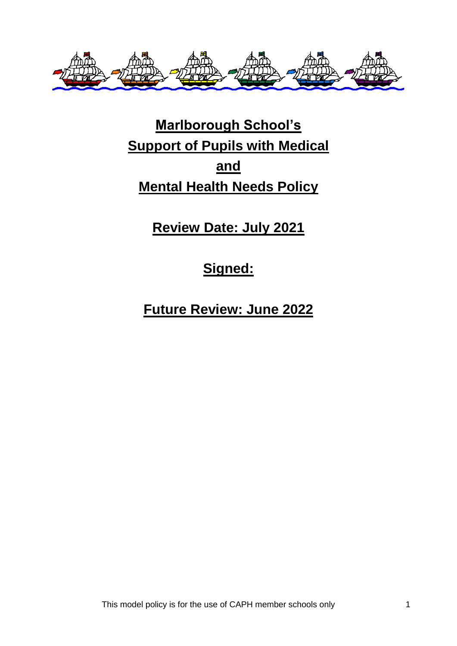

# **Marlborough School's Support of Pupils with Medical and Mental Health Needs Policy**

**Review Date: July 2021**

## **Signed:**

**Future Review: June 2022**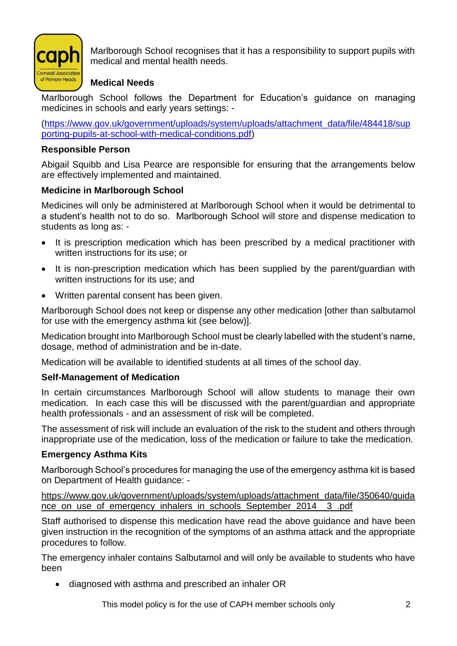

Marlborough School recognises that it has a responsibility to support pupils with medical and mental health needs.

## **Medical Needs**

Marlborough School follows the Department for Education's guidance on managing medicines in schools and early years settings: -

[\(https://www.gov.uk/government/uploads/system/uploads/attachment\\_data/file/484418/sup](https://www.gov.uk/government/uploads/system/uploads/attachment_data/file/484418/supporting-pupils-at-school-with-medical-conditions.pdf) [porting-pupils-at-school-with-medical-conditions.pdf\)](https://www.gov.uk/government/uploads/system/uploads/attachment_data/file/484418/supporting-pupils-at-school-with-medical-conditions.pdf)

## **Responsible Person**

Abigail Squibb and Lisa Pearce are responsible for ensuring that the arrangements below are effectively implemented and maintained.

## **Medicine in Marlborough School**

Medicines will only be administered at Marlborough School when it would be detrimental to a student's health not to do so. Marlborough School will store and dispense medication to students as long as: -

- It is prescription medication which has been prescribed by a medical practitioner with written instructions for its use; or
- It is non-prescription medication which has been supplied by the parent/guardian with written instructions for its use; and
- Written parental consent has been given.

Marlborough School does not keep or dispense any other medication [other than salbutamol for use with the emergency asthma kit (see below)].

Medication brought into Marlborough School must be clearly labelled with the student's name, dosage, method of administration and be in-date.

Medication will be available to identified students at all times of the school day.

## **Self-Management of Medication**

In certain circumstances Marlborough School will allow students to manage their own medication. In each case this will be discussed with the parent/guardian and appropriate health professionals - and an assessment of risk will be completed.

The assessment of risk will include an evaluation of the risk to the student and others through inappropriate use of the medication, loss of the medication or failure to take the medication.

## **Emergency Asthma Kits**

Marlborough School's procedures for managing the use of the emergency asthma kit is based on Department of Health guidance: -

[https://www.gov.uk/government/uploads/system/uploads/attachment\\_data/file/350640/guida](https://www.gov.uk/government/uploads/system/uploads/attachment_data/file/350640/guidance_on_use_of_emergency_inhalers_in_schools_September_2014__3_.pdf) nce on use of emergency inhalers in schools September 2014 a 3 .pdf

Staff authorised to dispense this medication have read the above guidance and have been given instruction in the recognition of the symptoms of an asthma attack and the appropriate procedures to follow.

The emergency inhaler contains Salbutamol and will only be available to students who have been

• diagnosed with asthma and prescribed an inhaler OR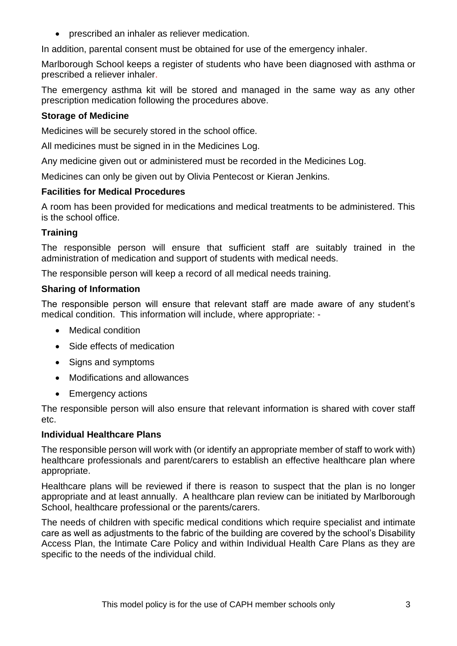• prescribed an inhaler as reliever medication.

In addition, parental consent must be obtained for use of the emergency inhaler.

Marlborough School keeps a register of students who have been diagnosed with asthma or prescribed a reliever inhaler.

The emergency asthma kit will be stored and managed in the same way as any other prescription medication following the procedures above.

## **Storage of Medicine**

Medicines will be securely stored in the school office.

All medicines must be signed in in the Medicines Log.

Any medicine given out or administered must be recorded in the Medicines Log.

Medicines can only be given out by Olivia Pentecost or Kieran Jenkins.

## **Facilities for Medical Procedures**

A room has been provided for medications and medical treatments to be administered. This is the school office.

## **Training**

The responsible person will ensure that sufficient staff are suitably trained in the administration of medication and support of students with medical needs.

The responsible person will keep a record of all medical needs training.

#### **Sharing of Information**

The responsible person will ensure that relevant staff are made aware of any student's medical condition. This information will include, where appropriate: -

- Medical condition
- Side effects of medication
- Signs and symptoms
- Modifications and allowances
- Emergency actions

The responsible person will also ensure that relevant information is shared with cover staff etc.

## **Individual Healthcare Plans**

The responsible person will work with (or identify an appropriate member of staff to work with) healthcare professionals and parent/carers to establish an effective healthcare plan where appropriate.

Healthcare plans will be reviewed if there is reason to suspect that the plan is no longer appropriate and at least annually. A healthcare plan review can be initiated by Marlborough School, healthcare professional or the parents/carers.

The needs of children with specific medical conditions which require specialist and intimate care as well as adjustments to the fabric of the building are covered by the school's Disability Access Plan, the Intimate Care Policy and within Individual Health Care Plans as they are specific to the needs of the individual child.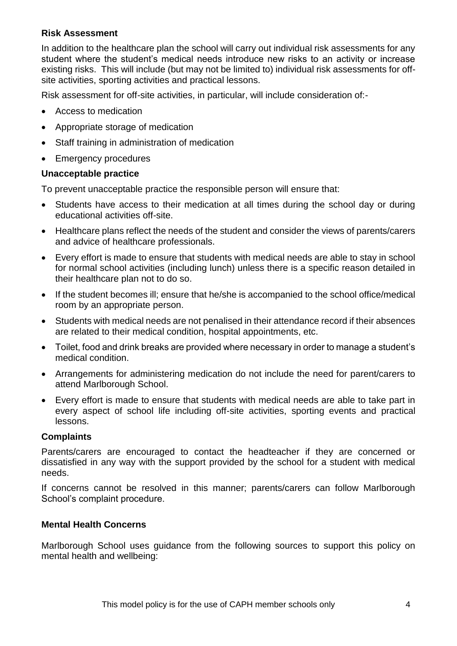#### **Risk Assessment**

In addition to the healthcare plan the school will carry out individual risk assessments for any student where the student's medical needs introduce new risks to an activity or increase existing risks. This will include (but may not be limited to) individual risk assessments for offsite activities, sporting activities and practical lessons.

Risk assessment for off-site activities, in particular, will include consideration of:-

- Access to medication
- Appropriate storage of medication
- Staff training in administration of medication
- Emergency procedures

#### **Unacceptable practice**

To prevent unacceptable practice the responsible person will ensure that:

- Students have access to their medication at all times during the school day or during educational activities off-site.
- Healthcare plans reflect the needs of the student and consider the views of parents/carers and advice of healthcare professionals.
- Every effort is made to ensure that students with medical needs are able to stay in school for normal school activities (including lunch) unless there is a specific reason detailed in their healthcare plan not to do so.
- If the student becomes ill; ensure that he/she is accompanied to the school office/medical room by an appropriate person.
- Students with medical needs are not penalised in their attendance record if their absences are related to their medical condition, hospital appointments, etc.
- Toilet, food and drink breaks are provided where necessary in order to manage a student's medical condition.
- Arrangements for administering medication do not include the need for parent/carers to attend Marlborough School.
- Every effort is made to ensure that students with medical needs are able to take part in every aspect of school life including off-site activities, sporting events and practical lessons.

## **Complaints**

Parents/carers are encouraged to contact the headteacher if they are concerned or dissatisfied in any way with the support provided by the school for a student with medical needs.

If concerns cannot be resolved in this manner; parents/carers can follow Marlborough School's complaint procedure.

## **Mental Health Concerns**

Marlborough School uses guidance from the following sources to support this policy on mental health and wellbeing: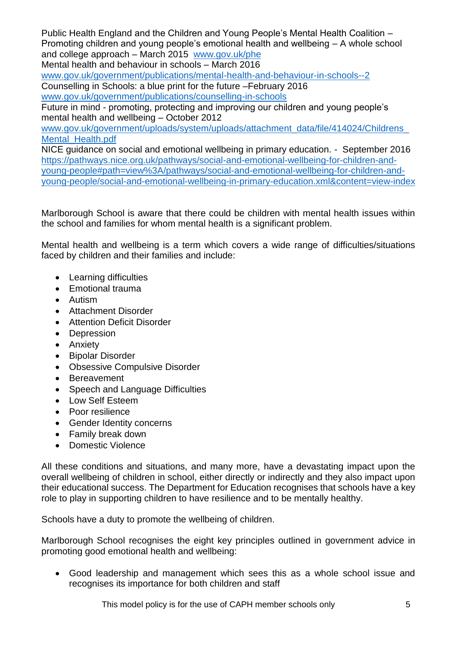Public Health England and the Children and Young People's Mental Health Coalition – Promoting children and young people's emotional health and wellbeing – A whole school and college approach – March 2015 [www.gov.uk/phe](http://www.gov.uk/phe)  Mental health and behaviour in schools – March 2016 [www.gov.uk/government/publications/mental-health-and-behaviour-in-schools--2](http://www.gov.uk/government/publications/mental-health-and-behaviour-in-schools--2) 

Counselling in Schools: a blue print for the future –February 2016

[www.gov.uk/government/publications/counselling-in-schools](http://www.gov.uk/government/publications/counselling-in-schools)

Future in mind - promoting, protecting and improving our children and young people's mental health and wellbeing – October 2012

www.gov.uk/government/uploads/system/uploads/attachment\_data/file/414024/Childrens Mental Health.pdf

NICE guidance on social and emotional wellbeing in primary education. - September 2016 [https://pathways.nice.org.uk/pathways/social-and-emotional-wellbeing-for-children-and](https://pathways.nice.org.uk/pathways/social-and-emotional-wellbeing-for-children-and-young-people#path=view%3A/pathways/social-and-emotional-wellbeing-for-children-and-young-people/social-and-emotional-wellbeing-in-primary-education.xml&content=view-index)[young-people#path=view%3A/pathways/social-and-emotional-wellbeing-for-children-and](https://pathways.nice.org.uk/pathways/social-and-emotional-wellbeing-for-children-and-young-people#path=view%3A/pathways/social-and-emotional-wellbeing-for-children-and-young-people/social-and-emotional-wellbeing-in-primary-education.xml&content=view-index)[young-people/social-and-emotional-wellbeing-in-primary-education.xml&content=view-index](https://pathways.nice.org.uk/pathways/social-and-emotional-wellbeing-for-children-and-young-people#path=view%3A/pathways/social-and-emotional-wellbeing-for-children-and-young-people/social-and-emotional-wellbeing-in-primary-education.xml&content=view-index)

Marlborough School is aware that there could be children with mental health issues within the school and families for whom mental health is a significant problem.

Mental health and wellbeing is a term which covers a wide range of difficulties/situations faced by children and their families and include:

- Learning difficulties
- Emotional trauma
- Autism
- Attachment Disorder
- Attention Deficit Disorder
- Depression
- Anxiety
- Bipolar Disorder
- Obsessive Compulsive Disorder
- Bereavement
- Speech and Language Difficulties
- Low Self Esteem
- Poor resilience
- Gender Identity concerns
- Family break down
- Domestic Violence

All these conditions and situations, and many more, have a devastating impact upon the overall wellbeing of children in school, either directly or indirectly and they also impact upon their educational success. The Department for Education recognises that schools have a key role to play in supporting children to have resilience and to be mentally healthy.

Schools have a duty to promote the wellbeing of children.

Marlborough School recognises the eight key principles outlined in government advice in promoting good emotional health and wellbeing:

• Good leadership and management which sees this as a whole school issue and recognises its importance for both children and staff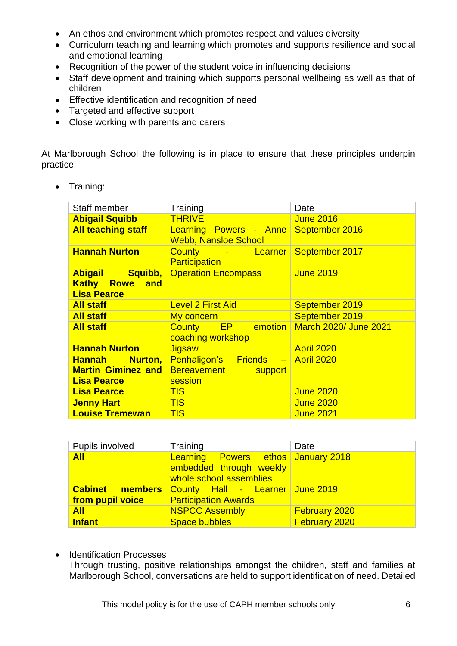- An ethos and environment which promotes respect and values diversity
- Curriculum teaching and learning which promotes and supports resilience and social and emotional learning
- Recognition of the power of the student voice in influencing decisions
- Staff development and training which supports personal wellbeing as well as that of children
- Effective identification and recognition of need
- Targeted and effective support
- Close working with parents and carers

At Marlborough School the following is in place to ensure that these principles underpin practice:

• Training:

| <b>Staff member</b>                                            | Training                                              | Date                         |
|----------------------------------------------------------------|-------------------------------------------------------|------------------------------|
| <b>Abigail Squibb</b>                                          | <b>THRIVE</b>                                         | <b>June 2016</b>             |
| <b>All teaching staff</b>                                      | Learning Powers - Anne<br><b>Webb, Nansloe School</b> | September 2016               |
| <b>Hannah Nurton</b>                                           | County - Learner<br><b>Participation</b>              | September 2017               |
| Abigail Squibb,<br><b>Kathy Rowe and</b><br><b>Lisa Pearce</b> | <b>Operation Encompass</b>                            | <b>June 2019</b>             |
| <b>All staff</b>                                               | <b>Level 2 First Aid</b>                              | September 2019               |
| <b>All staff</b>                                               | My concern                                            | September 2019               |
| <b>All staff</b>                                               | County EP emotion<br>coaching workshop                | <b>March 2020/ June 2021</b> |
| <b>Hannah Nurton</b>                                           | Jigsaw                                                | April 2020                   |
| <b>Hannah</b> Nurton,                                          | Penhaligon's Friends - April 2020                     |                              |
| <b>Martin Giminez and</b>                                      | Bereavement<br>support                                |                              |
| <b>Lisa Pearce</b>                                             | session                                               |                              |
| <b>Lisa Pearce</b>                                             | <b>TIS</b>                                            | <b>June 2020</b>             |
| <b>Jenny Hart</b>                                              | <b>TIS</b>                                            | <b>June 2020</b>             |
| <b>Louise Tremewan</b>                                         | <b>TIS</b>                                            | <b>June 2021</b>             |

| Pupils involved  | Training                                                                                        | Date                 |
|------------------|-------------------------------------------------------------------------------------------------|----------------------|
| <b>All</b>       | <b>Learning Powers ethos January 2018</b><br>embedded through weekly<br>whole school assemblies |                      |
|                  | <b>Cabinet members County Hall - Learner June 2019</b>                                          |                      |
| from pupil voice | <b>Participation Awards</b>                                                                     |                      |
| <b>All</b>       | <b>NSPCC Assembly</b>                                                                           | <b>February 2020</b> |
| <b>Infant</b>    | Space bubbles                                                                                   | <b>February 2020</b> |

• Identification Processes

Through trusting, positive relationships amongst the children, staff and families at Marlborough School, conversations are held to support identification of need. Detailed